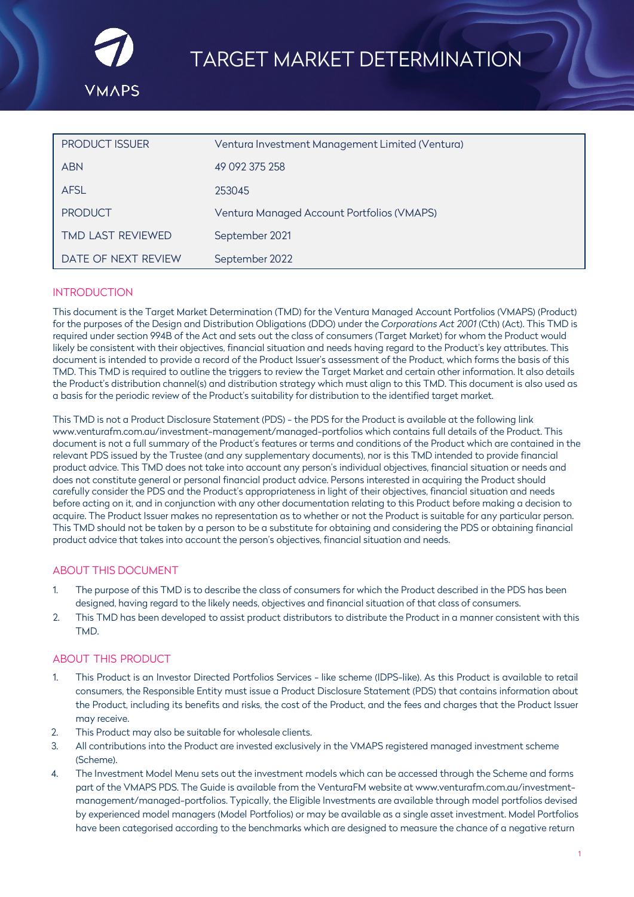

| <b>PRODUCT ISSUER</b>    | Ventura Investment Management Limited (Ventura) |
|--------------------------|-------------------------------------------------|
| <b>ABN</b>               | 49 092 375 258                                  |
| <b>AFSL</b>              | 253045                                          |
| <b>PRODUCT</b>           | Ventura Managed Account Portfolios (VMAPS)      |
| <b>TMD LAST REVIEWED</b> | September 2021                                  |
| DATE OF NEXT REVIEW      | September 2022                                  |

## **INTRODUCTION**

This document is the Target Market Determination (TMD) for the Ventura Managed Account Portfolios (VMAPS) (Product) for the purposes of the Design and Distribution Obligations (DDO) under the *Corporations Act 2001* (Cth) (Act). This TMD is required under section 994B of the Act and sets out the class of consumers (Target Market) for whom the Product would likely be consistent with their objectives, financial situation and needs having regard to the Product's key attributes. This document is intended to provide a record of the Product Issuer's assessment of the Product, which forms the basis of this TMD. This TMD is required to outline the triggers to review the Target Market and certain other information. It also details the Product's distribution channel(s) and distribution strategy which must align to this TMD. This document is also used as a basis for the periodic review of the Product's suitability for distribution to the identified target market.

This TMD is not a Product Disclosure Statement (PDS) - the PDS for the Product is available at the following link [www.venturafm.com.au/investment-management/managed-portfolios w](https://venturafm.com.au/investment-management/managed-portfolios/)hich contains full details of the Product. This document is not a full summary of the Product's features or terms and conditions of the Product which are contained in the relevant PDS issued by the Trustee (and any supplementary documents), nor is this TMD intended to provide financial product advice. This TMD does not take into account any person's individual objectives, financial situation or needs and does not constitute general or personal financial product advice. Persons interested in acquiring the Product should carefully consider the PDS and the Product's appropriateness in light of their objectives, financial situation and needs before acting on it, and in conjunction with any other documentation relating to this Product before making a decision to acquire. The Product Issuer makes no representation as to whether or not the Product is suitable for any particular person. This TMD should not be taken by a person to be a substitute for obtaining and considering the PDS or obtaining financial product advice that takes into account the person's objectives, financial situation and needs.

## ABOUT THIS DOCUMENT

- 1. The purpose of this TMD is to describe the class of consumers for which the Product described in the PDS has been designed, having regard to the likely needs, objectives and financial situation of that class of consumers.
- 2. This TMD has been developed to assist product distributors to distribute the Product in a manner consistent with this TMD.

## ABOUT THIS PRODUCT

- 1. This Product is an Investor Directed Portfolios Services like scheme (IDPS-like). As this Product is available to retail consumers, the Responsible Entity must issue a Product Disclosure Statement (PDS) that contains information about the Product, including its benefits and risks, the cost of the Product, and the fees and charges that the Product Issuer may receive.
- 2. This Product may also be suitable for wholesale clients.
- 3. All contributions into the Product are invested exclusively in the VMAPS registered managed investment scheme (Scheme).
- 4. The Investment Model Menu sets out the investment models which can be accessed through the Scheme and forms part of the VMAPS PDS. The Guide is available from the VenturaFM website at [www.venturafm.com.au/investment](http://www.venturafm.com.au/investment-management/managed-portfolios)[management/managed-portfolios.](http://www.venturafm.com.au/investment-management/managed-portfolios) Typically, the Eligible Investments are available through model portfolios devised by experienced model managers (Model Portfolios) or may be available as a single asset investment. Model Portfolios have been categorised according to the benchmarks which are designed to measure the chance of a negative return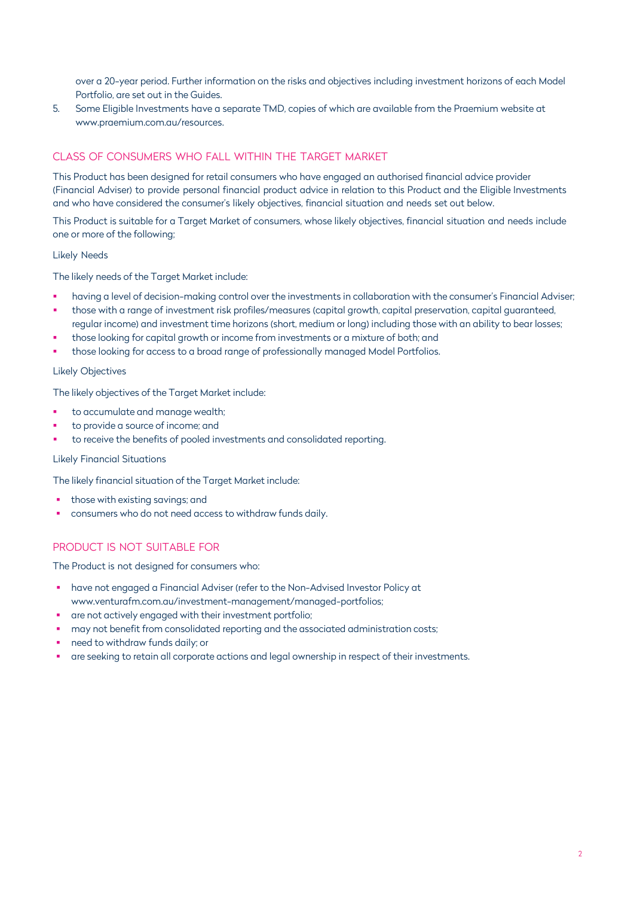over a 20-year period. Further information on the risks and objectives including investment horizons of each Model Portfolio, are set out in the Guides.

5. Some Eligible Investments have a separate TMD, copies of which are available from the Praemium website at [www.praemium.com.au/resources.](http://www.praemium.com.au/resources)

# CLASS OF CONSUMERS WHO FALL WITHIN THE TARGET MARKET

This Product has been designed for retail consumers who have engaged an authorised financial advice provider (Financial Adviser) to provide personal financial product advice in relation to this Product and the Eligible Investments and who have considered the consumer's likely objectives, financial situation and needs set out below.

This Product is suitable for a Target Market of consumers, whose likely objectives, financial situation and needs include one or more of the following;

### Likely Needs

The likely needs of the Target Market include:

- having a level of decision-making control over the investments in collaboration with the consumer's Financial Adviser;
- those with a range of investment risk profiles/measures (capital growth, capital preservation, capital guaranteed, regular income) and investment time horizons (short, medium or long) including those with an ability to bear losses;
- those looking for capital growth or income from investments or a mixture of both; and
- those looking for access to a broad range of professionally managed Model Portfolios.

### Likely Objectives

The likely objectives of the Target Market include:

- to accumulate and manage wealth;
- to provide a source of income; and
- to receive the benefits of pooled investments and consolidated reporting.

### Likely Financial Situations

The likely financial situation of the Target Market include:

- those with existing savings; and
- consumers who do not need access to withdraw funds daily.

## PRODUCT IS NOT SUITABLE FOR

The Product is not designed for consumers who:

- have not engaged a Financial Adviser (refer to the Non-Advised Investor Policy at [www.venturafm.com.au/investment-management/managed-portfolios;](http://www.venturafm.com.au/investment-management/managed-portfolios%3B)
- are not actively engaged with their investment portfolio;
- may not benefit from consolidated reporting and the associated administration costs;
- need to withdraw funds daily; or
- are seeking to retain all corporate actions and legal ownership in respect of their investments.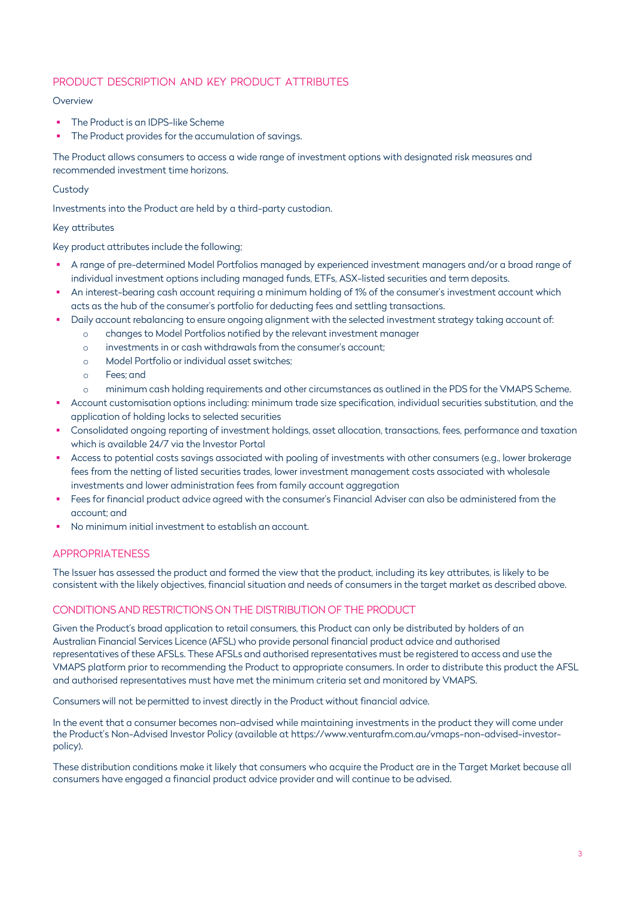## PRODUCT DESCRIPTION AND KEY PRODUCT ATTRIBUTES

### **Overview**

- The Product is an IDPS-like Scheme
- The Product provides for the accumulation of savings.

The Product allows consumers to access a wide range of investment options with designated risk measures and recommended investment time horizons.

### **Custody**

Investments into the Product are held by a third-party custodian.

### Key attributes

Key product attributes include the following;

- A range of pre-determined Model Portfolios managed by experienced investment managers and/or a broad range of individual investment options including managed funds, ETFs, ASX-listed securities and term deposits.
- An interest-bearing cash account requiring a minimum holding of 1% of the consumer's investment account which acts as the hub of the consumer's portfolio for deducting fees and settling transactions.
- Daily account rebalancing to ensure ongoing alignment with the selected investment strategy taking account of:
	- o changes to Model Portfolios notified by the relevant investment manager
	- o investments in or cash withdrawals from the consumer's account;
	- o Model Portfolio or individual asset switches;
	- o Fees; and
	- minimum cash holding requirements and other circumstances as outlined in the PDS for the VMAPS Scheme.
- Account customisation options including: minimum trade size specification, individual securities substitution, and the application of holding locks to selected securities
- Consolidated ongoing reporting of investment holdings, asset allocation, transactions, fees, performance and taxation which is available 24/7 via the Investor Portal
- Access to potential costs savings associated with pooling of investments with other consumers (e.g., lower brokerage fees from the netting of listed securities trades, lower investment management costs associated with wholesale investments and lower administration fees from family account aggregation
- Fees for financial product advice agreed with the consumer's Financial Adviser can also be administered from the account; and
- No minimum initial investment to establish an account.

## APPROPRIATENESS

The Issuer has assessed the product and formed the view that the product, including its key attributes, is likely to be consistent with the likely objectives, financial situation and needs of consumers in the target market as described above.

## CONDITIONS AND RESTRICTIONS ON THE DISTRIBUTION OF THE PRODUCT

Given the Product's broad application to retail consumers, this Product can only be distributed by holders of an Australian Financial Services Licence (AFSL) who provide personal financial product advice and authorised representatives of these AFSLs. These AFSLs and authorised representatives must be registered to access and use the VMAPS platform prior to recommending the Product to appropriate consumers. In order to distribute this product the AFSL and authorised representatives must have met the minimum criteria set and monitored by VMAPS.

Consumers will not be permitted to invest directly in the Product without financial advice.

In the event that a consumer becomes non-advised while maintaining investments in the product they will come under the Product's Non-Advised Investor Policy (available [at https://www.venturafm.com.au/vmaps-non-advised-investor](https://venturafm.com.au/documents/non-advised-investor-policy/)policy).

[These distribution conditions](https://venturafm.com.au/media/2406/vmaps-non-advised-investor-policy-june-2020.pdf) make it likely that consumers who acquire the Product are in the Target Market because all consumers have engaged a financial product advice provider and will continue to be advised.